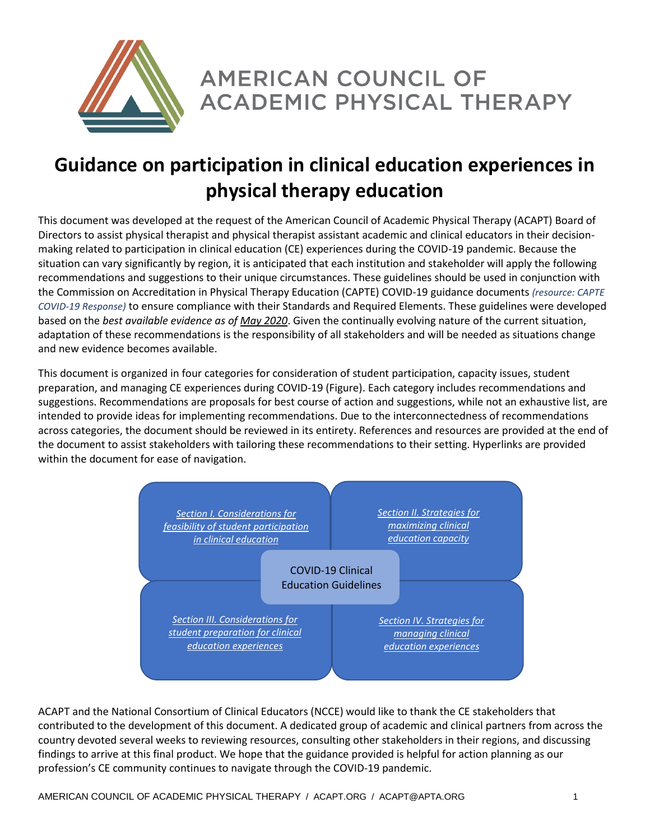

**AMERICAN COUNCIL OF ACADEMIC PHYSICAL THERAPY** 

# **Guidance on participation in clinical education experiences in physical therapy education**

This document was developed at the request of the American Council of Academic Physical Therapy (ACAPT) Board of Directors to assist physical therapist and physical therapist assistant academic and clinical educators in their decisionmaking related to participation in clinical education (CE) experiences during the COVID-19 pandemic. Because the situation can vary significantly by region, it is anticipated that each institution and stakeholder will apply the following recommendations and suggestions to their unique circumstances. These guidelines should be used in conjunction with the Commission on Accreditation in Physical Therapy Education (CAPTE) COVID-19 guidance documents *(resource: [CAPTE](#page-7-0)  [COVID-19 Response\)](#page-7-0)* to ensure compliance with their Standards and Required Elements. These guidelines were developed based on the *best available evidence as of May 2020*. Given the continually evolving nature of the current situation, adaptation of these recommendations is the responsibility of all stakeholders and will be needed as situations change and new evidence becomes available.

This document is organized in four categories for consideration of student participation, capacity issues, student preparation, and managing CE experiences during COVID-19 (Figure). Each category includes recommendations and suggestions. Recommendations are proposals for best course of action and suggestions, while not an exhaustive list, are intended to provide ideas for implementing recommendations. Due to the interconnectedness of recommendations across categories, the document should be reviewed in its entirety. References and resources are provided at the end of the document to assist stakeholders with tailoring these recommendations to their setting. Hyperlinks are provided within the document for ease of navigation.



ACAPT and the National Consortium of Clinical Educators (NCCE) would like to thank the CE stakeholders that contributed to the development of this document. A dedicated group of academic and clinical partners from across the country devoted several weeks to reviewing resources, consulting other stakeholders in their regions, and discussing findings to arrive at this final product. We hope that the guidance provided is helpful for action planning as our profession's CE community continues to navigate through the COVID-19 pandemic.

AMERICAN COUNCIL OF ACADEMIC PHYSICAL THERAPY / ACAPT ORG / ACAPT@APTA.ORG 1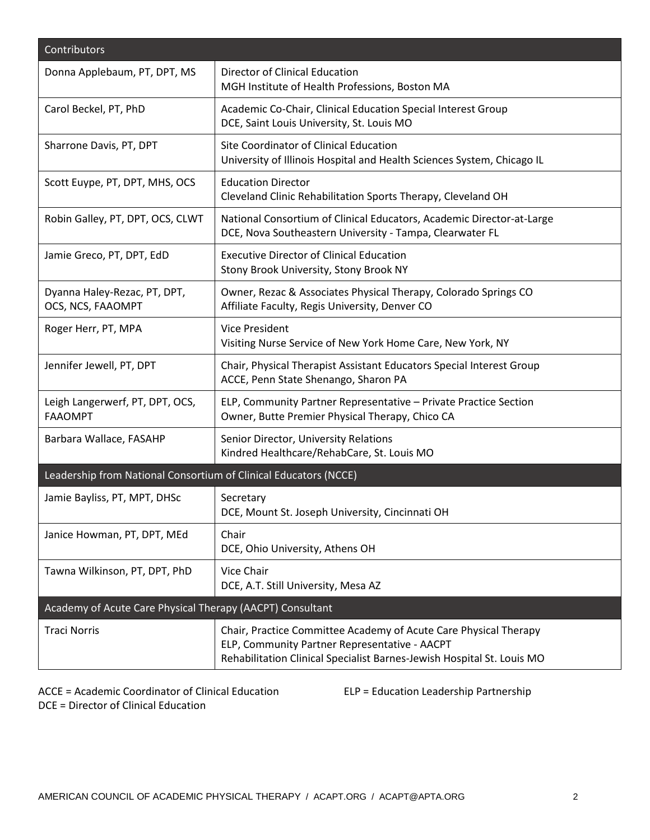| Contributors                                                     |                                                                                                                                                                                             |
|------------------------------------------------------------------|---------------------------------------------------------------------------------------------------------------------------------------------------------------------------------------------|
| Donna Applebaum, PT, DPT, MS                                     | Director of Clinical Education<br>MGH Institute of Health Professions, Boston MA                                                                                                            |
| Carol Beckel, PT, PhD                                            | Academic Co-Chair, Clinical Education Special Interest Group<br>DCE, Saint Louis University, St. Louis MO                                                                                   |
| Sharrone Davis, PT, DPT                                          | Site Coordinator of Clinical Education<br>University of Illinois Hospital and Health Sciences System, Chicago IL                                                                            |
| Scott Euype, PT, DPT, MHS, OCS                                   | <b>Education Director</b><br>Cleveland Clinic Rehabilitation Sports Therapy, Cleveland OH                                                                                                   |
| Robin Galley, PT, DPT, OCS, CLWT                                 | National Consortium of Clinical Educators, Academic Director-at-Large<br>DCE, Nova Southeastern University - Tampa, Clearwater FL                                                           |
| Jamie Greco, PT, DPT, EdD                                        | <b>Executive Director of Clinical Education</b><br>Stony Brook University, Stony Brook NY                                                                                                   |
| Dyanna Haley-Rezac, PT, DPT,<br>OCS, NCS, FAAOMPT                | Owner, Rezac & Associates Physical Therapy, Colorado Springs CO<br>Affiliate Faculty, Regis University, Denver CO                                                                           |
| Roger Herr, PT, MPA                                              | <b>Vice President</b><br>Visiting Nurse Service of New York Home Care, New York, NY                                                                                                         |
| Jennifer Jewell, PT, DPT                                         | Chair, Physical Therapist Assistant Educators Special Interest Group<br>ACCE, Penn State Shenango, Sharon PA                                                                                |
| Leigh Langerwerf, PT, DPT, OCS,<br><b>FAAOMPT</b>                | ELP, Community Partner Representative - Private Practice Section<br>Owner, Butte Premier Physical Therapy, Chico CA                                                                         |
| Barbara Wallace, FASAHP                                          | Senior Director, University Relations<br>Kindred Healthcare/RehabCare, St. Louis MO                                                                                                         |
| Leadership from National Consortium of Clinical Educators (NCCE) |                                                                                                                                                                                             |
| Jamie Bayliss, PT, MPT, DHSc                                     | Secretary<br>DCE, Mount St. Joseph University, Cincinnati OH                                                                                                                                |
| Janice Howman, PT, DPT, MEd                                      | Chair<br>DCE, Ohio University, Athens OH                                                                                                                                                    |
| Tawna Wilkinson, PT, DPT, PhD                                    | Vice Chair<br>DCE, A.T. Still University, Mesa AZ                                                                                                                                           |
| Academy of Acute Care Physical Therapy (AACPT) Consultant        |                                                                                                                                                                                             |
| <b>Traci Norris</b>                                              | Chair, Practice Committee Academy of Acute Care Physical Therapy<br>ELP, Community Partner Representative - AACPT<br>Rehabilitation Clinical Specialist Barnes-Jewish Hospital St. Louis MO |

ACCE = Academic Coordinator of Clinical Education ELP = Education Leadership Partnership DCE = Director of Clinical Education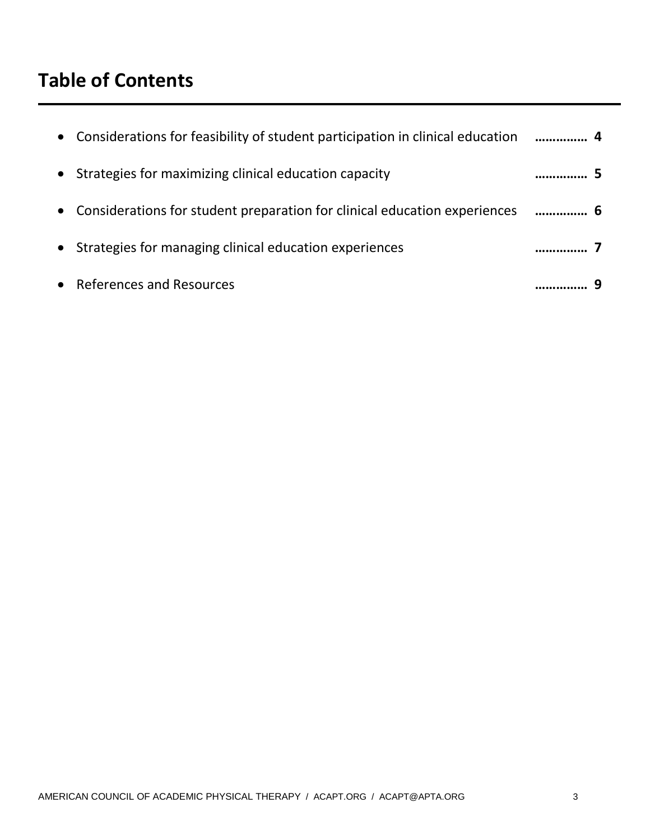# **Table of Contents**

| • Considerations for feasibility of student participation in clinical education  4 |  |
|------------------------------------------------------------------------------------|--|
| • Strategies for maximizing clinical education capacity                            |  |
| • Considerations for student preparation for clinical education experiences  6     |  |
| • Strategies for managing clinical education experiences                           |  |
| • References and Resources                                                         |  |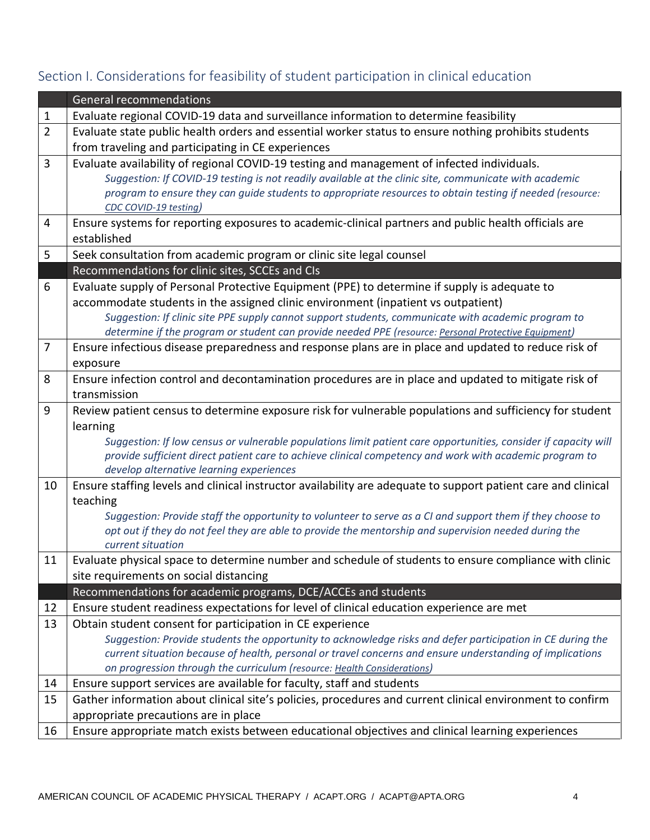## General recommendations 1 Evaluate regional COVID-19 data and surveillance information to determine feasibility 2 Evaluate state public health orders and essential worker status to ensure nothing prohibits students from traveling and participating in CE experiences 3 Evaluate availability of regional COVID-19 testing and management of infected individuals. *Suggestion: If COVID-19 testing is not readily available at the clinic site, communicate with academic program to ensure they can guide students to appropriate resources to obtain testing if needed (resource: [CDC COVID-19 testing\)](#page-7-1)* 4 Ensure systems for reporting exposures to academic-clinical partners and public health officials are established 5 Seek consultation from academic program or clinic site legal counsel Recommendations for clinic sites, SCCEs and CIs 6 Evaluate supply of Personal Protective Equipment (PPE) to determine if supply is adequate to accommodate students in the assigned clinic environment (inpatient vs outpatient) *Suggestion: If clinic site PPE supply cannot support students, communicate with academic program to determine if the program or student can provide needed PPE (resource: [Personal Protective Equipment\)](#page-8-0)* 7 Ensure infectious disease preparedness and response plans are in place and updated to reduce risk of exposure 8 Ensure infection control and decontamination procedures are in place and updated to mitigate risk of transmission 9 | Review patient census to determine exposure risk for vulnerable populations and sufficiency for student learning *Suggestion: If low census or vulnerable populations limit patient care opportunities, consider if capacity will provide sufficient direct patient care to achieve clinical competency and work with academic program to develop alternative learning experiences* 10 Ensure staffing levels and clinical instructor availability are adequate to support patient care and clinical teaching *Suggestion: Provide staff the opportunity to volunteer to serve as a CI and support them if they choose to opt out if they do not feel they are able to provide the mentorship and supervision needed during the current situation* 11 | Evaluate physical space to determine number and schedule of students to ensure compliance with clinic site requirements on social distancing Recommendations for academic programs, DCE/ACCEs and students 12 Ensure student readiness expectations for level of clinical education experience are met 13 Obtain student consent for participation in CE experience *Suggestion: Provide students the opportunity to acknowledge risks and defer participation in CE during the current situation because of health, personal or travel concerns and ensure understanding of implications on progression through the curriculum (resource[: Health Considerations\)](#page-8-1)* 14 Ensure support services are available for faculty, staff and students 15 Gather information about clinical site's policies, procedures and current clinical environment to confirm appropriate precautions are in place 16 Ensure appropriate match exists between educational objectives and clinical learning experiences

### <span id="page-3-0"></span>Section I. Considerations for feasibility of student participation in clinical education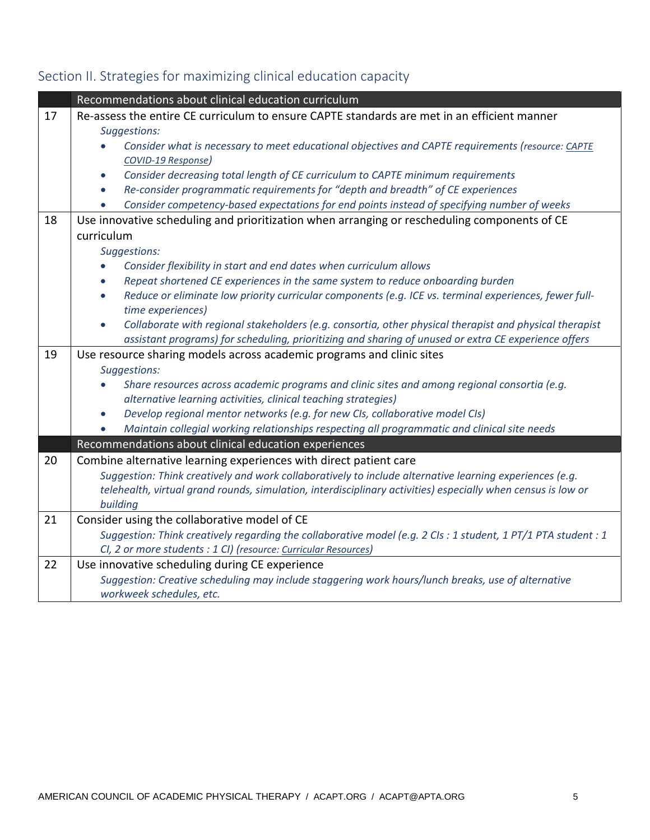<span id="page-4-1"></span>

|    | Recommendations about clinical education curriculum                                                                                      |  |
|----|------------------------------------------------------------------------------------------------------------------------------------------|--|
| 17 | Re-assess the entire CE curriculum to ensure CAPTE standards are met in an efficient manner                                              |  |
|    | Suggestions:                                                                                                                             |  |
|    | Consider what is necessary to meet educational objectives and CAPTE requirements (resource: CAPTE                                        |  |
|    | COVID-19 Response)                                                                                                                       |  |
|    | Consider decreasing total length of CE curriculum to CAPTE minimum requirements<br>$\bullet$                                             |  |
|    | Re-consider programmatic requirements for "depth and breadth" of CE experiences<br>$\bullet$                                             |  |
|    | Consider competency-based expectations for end points instead of specifying number of weeks                                              |  |
| 18 | Use innovative scheduling and prioritization when arranging or rescheduling components of CE                                             |  |
|    | curriculum                                                                                                                               |  |
|    | Suggestions:                                                                                                                             |  |
|    | Consider flexibility in start and end dates when curriculum allows                                                                       |  |
|    | Repeat shortened CE experiences in the same system to reduce onboarding burden<br>$\bullet$                                              |  |
|    | Reduce or eliminate low priority curricular components (e.g. ICE vs. terminal experiences, fewer full-<br>$\bullet$<br>time experiences) |  |
|    | Collaborate with regional stakeholders (e.g. consortia, other physical therapist and physical therapist<br>$\bullet$                     |  |
|    | assistant programs) for scheduling, prioritizing and sharing of unused or extra CE experience offers                                     |  |
| 19 | Use resource sharing models across academic programs and clinic sites                                                                    |  |
|    | Suggestions:                                                                                                                             |  |
|    | Share resources across academic programs and clinic sites and among regional consortia (e.g.                                             |  |
|    | alternative learning activities, clinical teaching strategies)                                                                           |  |
|    | Develop regional mentor networks (e.g. for new CIs, collaborative model CIs)<br>$\bullet$                                                |  |
|    | Maintain collegial working relationships respecting all programmatic and clinical site needs                                             |  |
|    | Recommendations about clinical education experiences                                                                                     |  |
| 20 | Combine alternative learning experiences with direct patient care                                                                        |  |
|    | Suggestion: Think creatively and work collaboratively to include alternative learning experiences (e.g.                                  |  |
|    | telehealth, virtual grand rounds, simulation, interdisciplinary activities) especially when census is low or                             |  |
|    | building                                                                                                                                 |  |
| 21 | Consider using the collaborative model of CE                                                                                             |  |
|    | Suggestion: Think creatively regarding the collaborative model (e.g. 2 CIs : 1 student, 1 PT/1 PTA student : 1                           |  |
|    | Cl, 2 or more students : 1 Cl) (resource: Curricular Resources)                                                                          |  |
| 22 | Use innovative scheduling during CE experience                                                                                           |  |
|    | Suggestion: Creative scheduling may include staggering work hours/lunch breaks, use of alternative                                       |  |
|    | workweek schedules, etc.                                                                                                                 |  |

# <span id="page-4-0"></span>Section II. Strategies for maximizing clinical education capacity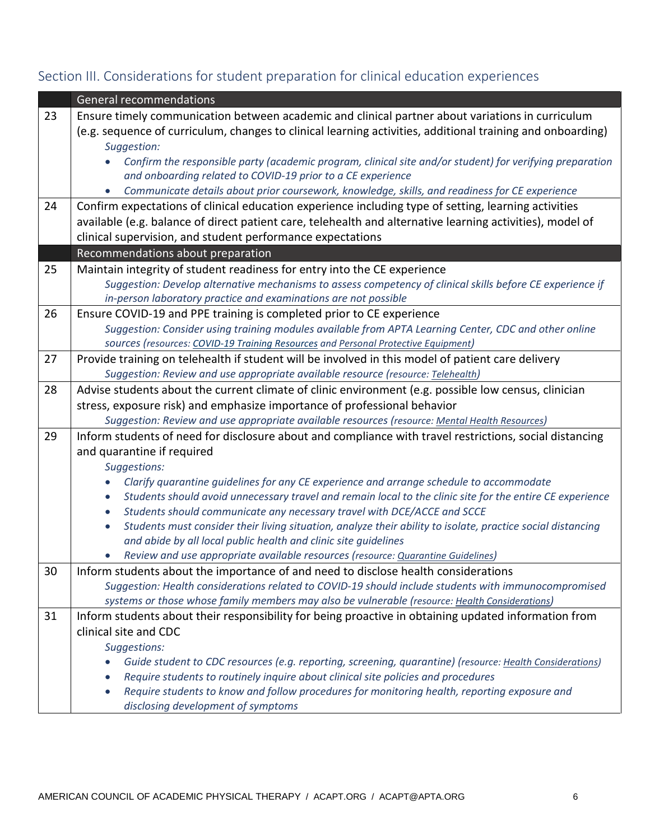# Section III. Considerations for student preparation for clinical education experiences

|    | <b>General recommendations</b>                                                                                           |  |
|----|--------------------------------------------------------------------------------------------------------------------------|--|
| 23 | Ensure timely communication between academic and clinical partner about variations in curriculum                         |  |
|    | (e.g. sequence of curriculum, changes to clinical learning activities, additional training and onboarding)               |  |
|    | Suggestion:                                                                                                              |  |
|    | Confirm the responsible party (academic program, clinical site and/or student) for verifying preparation                 |  |
|    | and onboarding related to COVID-19 prior to a CE experience                                                              |  |
|    | Communicate details about prior coursework, knowledge, skills, and readiness for CE experience                           |  |
| 24 | Confirm expectations of clinical education experience including type of setting, learning activities                     |  |
|    | available (e.g. balance of direct patient care, telehealth and alternative learning activities), model of                |  |
|    | clinical supervision, and student performance expectations                                                               |  |
|    | Recommendations about preparation                                                                                        |  |
| 25 | Maintain integrity of student readiness for entry into the CE experience                                                 |  |
|    | Suggestion: Develop alternative mechanisms to assess competency of clinical skills before CE experience if               |  |
|    | in-person laboratory practice and examinations are not possible                                                          |  |
| 26 | Ensure COVID-19 and PPE training is completed prior to CE experience                                                     |  |
|    | Suggestion: Consider using training modules available from APTA Learning Center, CDC and other online                    |  |
|    | sources (resources: COVID-19 Training Resources and Personal Protective Equipment)                                       |  |
| 27 | Provide training on telehealth if student will be involved in this model of patient care delivery                        |  |
|    | Suggestion: Review and use appropriate available resource (resource: Telehealth)                                         |  |
| 28 | Advise students about the current climate of clinic environment (e.g. possible low census, clinician                     |  |
|    | stress, exposure risk) and emphasize importance of professional behavior                                                 |  |
|    | Suggestion: Review and use appropriate available resources (resource: Mental Health Resources)                           |  |
| 29 | Inform students of need for disclosure about and compliance with travel restrictions, social distancing                  |  |
|    | and quarantine if required                                                                                               |  |
|    | Suggestions:<br>Clarify quarantine guidelines for any CE experience and arrange schedule to accommodate<br>$\bullet$     |  |
|    | Students should avoid unnecessary travel and remain local to the clinic site for the entire CE experience<br>$\bullet$   |  |
|    | Students should communicate any necessary travel with DCE/ACCE and SCCE<br>$\bullet$                                     |  |
|    | Students must consider their living situation, analyze their ability to isolate, practice social distancing<br>$\bullet$ |  |
|    | and abide by all local public health and clinic site guidelines                                                          |  |
|    | Review and use appropriate available resources (resource: Quarantine Guidelines)                                         |  |
| 30 | Inform students about the importance of and need to disclose health considerations                                       |  |
|    | Suggestion: Health considerations related to COVID-19 should include students with immunocompromised                     |  |
|    | systems or those whose family members may also be vulnerable (resource: Health Considerations)                           |  |
| 31 | Inform students about their responsibility for being proactive in obtaining updated information from                     |  |
|    | clinical site and CDC                                                                                                    |  |
|    | Suggestions:                                                                                                             |  |
|    | Guide student to CDC resources (e.g. reporting, screening, quarantine) (resource: Health Considerations)                 |  |
|    | Require students to routinely inquire about clinical site policies and procedures                                        |  |
|    | Require students to know and follow procedures for monitoring health, reporting exposure and<br>$\bullet$                |  |
|    | disclosing development of symptoms                                                                                       |  |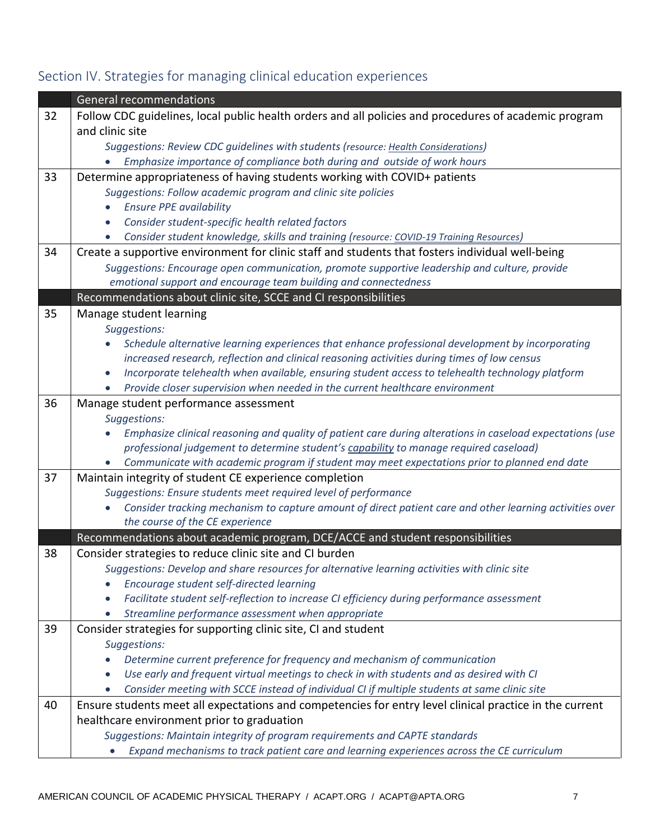# <span id="page-6-0"></span>Section IV. Strategies for managing clinical education experiences

|    | <b>General recommendations</b>                                                                                |
|----|---------------------------------------------------------------------------------------------------------------|
| 32 | Follow CDC guidelines, local public health orders and all policies and procedures of academic program         |
|    | and clinic site                                                                                               |
|    | Suggestions: Review CDC guidelines with students (resource: Health Considerations)                            |
|    | Emphasize importance of compliance both during and outside of work hours                                      |
| 33 | Determine appropriateness of having students working with COVID+ patients                                     |
|    | Suggestions: Follow academic program and clinic site policies                                                 |
|    | <b>Ensure PPE availability</b><br>$\bullet$                                                                   |
|    | Consider student-specific health related factors<br>$\bullet$                                                 |
|    | Consider student knowledge, skills and training (resource: COVID-19 Training Resources)<br>$\bullet$          |
| 34 | Create a supportive environment for clinic staff and students that fosters individual well-being              |
|    | Suggestions: Encourage open communication, promote supportive leadership and culture, provide                 |
|    | emotional support and encourage team building and connectedness                                               |
|    | Recommendations about clinic site, SCCE and CI responsibilities                                               |
| 35 | Manage student learning                                                                                       |
|    | Suggestions:                                                                                                  |
|    | Schedule alternative learning experiences that enhance professional development by incorporating              |
|    | increased research, reflection and clinical reasoning activities during times of low census                   |
|    | Incorporate telehealth when available, ensuring student access to telehealth technology platform<br>$\bullet$ |
|    | Provide closer supervision when needed in the current healthcare environment<br>$\bullet$                     |
| 36 | Manage student performance assessment                                                                         |
|    | Suggestions:                                                                                                  |
|    | Emphasize clinical reasoning and quality of patient care during alterations in caseload expectations (use     |
|    | professional judgement to determine student's capability to manage required caseload)                         |
|    | Communicate with academic program if student may meet expectations prior to planned end date                  |
| 37 | Maintain integrity of student CE experience completion                                                        |
|    | Suggestions: Ensure students meet required level of performance                                               |
|    | Consider tracking mechanism to capture amount of direct patient care and other learning activities over       |
|    | the course of the CE experience                                                                               |
|    | Recommendations about academic program, DCE/ACCE and student responsibilities                                 |
| 38 | Consider strategies to reduce clinic site and CI burden                                                       |
|    | Suggestions: Develop and share resources for alternative learning activities with clinic site                 |
|    | Encourage student self-directed learning                                                                      |
|    | Facilitate student self-reflection to increase CI efficiency during performance assessment<br>$\bullet$       |
|    | Streamline performance assessment when appropriate<br>$\bullet$                                               |
| 39 | Consider strategies for supporting clinic site, CI and student                                                |
|    | Suggestions:                                                                                                  |
|    | Determine current preference for frequency and mechanism of communication                                     |
|    | Use early and frequent virtual meetings to check in with students and as desired with CI<br>$\bullet$         |
|    | Consider meeting with SCCE instead of individual CI if multiple students at same clinic site<br>$\bullet$     |
| 40 | Ensure students meet all expectations and competencies for entry level clinical practice in the current       |
|    | healthcare environment prior to graduation                                                                    |
|    | Suggestions: Maintain integrity of program requirements and CAPTE standards                                   |
|    | Expand mechanisms to track patient care and learning experiences across the CE curriculum                     |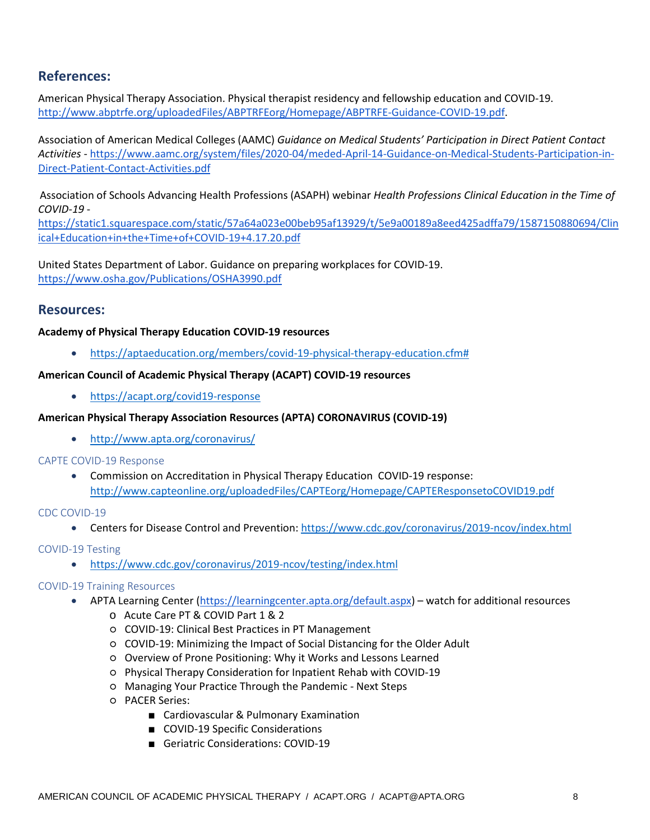## **References:**

American Physical Therapy Association. Physical therapist residency and fellowship education and COVID-19. [http://www.abptrfe.org/uploadedFiles/ABPTRFEorg/Homepage/ABPTRFE-Guidance-COVID-19.pdf.](http://www.abptrfe.org/uploadedFiles/ABPTRFEorg/Homepage/ABPTRFE-Guidance-COVID-19.pdf)

Association of American Medical Colleges (AAMC) *Guidance on Medical Students' Participation in Direct Patient Contact Activities* [-](https://www.aamc.org/system/files/2020-04/meded-April-14-Guidance-on-Medical-Students-Participation-in-Direct-Patient-Contact-Activities.pdf) [https://www.aamc.org/system/files/2020-04/meded-April-14-Guidance-on-Medical-Students-Participation-in-](https://www.aamc.org/system/files/2020-04/meded-April-14-Guidance-on-Medical-Students-Participation-in-Direct-Patient-Contact-Activities.pdf)[Direct-Patient-Contact-Activities.pdf](https://www.aamc.org/system/files/2020-04/meded-April-14-Guidance-on-Medical-Students-Participation-in-Direct-Patient-Contact-Activities.pdf)

Association of Schools Advancing Health Professions (ASAPH) webinar *Health Professions Clinical Education in the Time of COVID-19* [-](https://static1.squarespace.com/static/57a64a023e00beb95af13929/t/5e9a00189a8eed425adffa79/1587150880694/Clinical+Education+in+the+Time+of+COVID-19+4.17.20.pdf)

[https://static1.squarespace.com/static/57a64a023e00beb95af13929/t/5e9a00189a8eed425adffa79/1587150880694/Clin](https://static1.squarespace.com/static/57a64a023e00beb95af13929/t/5e9a00189a8eed425adffa79/1587150880694/Clinical+Education+in+the+Time+of+COVID-19+4.17.20.pdf) [ical+Education+in+the+Time+of+COVID-19+4.17.20.pdf](https://static1.squarespace.com/static/57a64a023e00beb95af13929/t/5e9a00189a8eed425adffa79/1587150880694/Clinical+Education+in+the+Time+of+COVID-19+4.17.20.pdf)

United States Department of Labor. Guidance on preparing workplaces for COVID-19. <https://www.osha.gov/Publications/OSHA3990.pdf>

### **Resources:**

#### **Academy of Physical Therapy Education COVID-19 resources**

• [https://aptaeducation.org/members/covid-19-physical-therapy-education.cfm#](https://aptaeducation.org/members/covid-19-physical-therapy-education.cfm) 

#### **American Council of Academic Physical Therapy (ACAPT) COVID-19 resources**

• <https://acapt.org/covid19-response>

#### **American Physical Therapy Association Resources (APTA) CORONAVIRUS (COVID-19)**

• <http://www.apta.org/coronavirus/>

#### <span id="page-7-0"></span>CAPTE COVID-19 Response

• Commission on Accreditation in Physical Therapy Education COVID-19 response: <http://www.capteonline.org/uploadedFiles/CAPTEorg/Homepage/CAPTEResponsetoCOVID19.pdf>

#### CDC COVID-19

• Centers for Disease Control and Prevention[: https://www.cdc.gov/coronavirus/2019-ncov/index.html](https://www.cdc.gov/coronavirus/2019-ncov/index.html)

#### <span id="page-7-1"></span>COVID-19 Testing

• <https://www.cdc.gov/coronavirus/2019-ncov/testing/index.html>

#### <span id="page-7-2"></span>COVID-19 Training Resources

- APTA Learning Center [\(https://learningcenter.apta.org/default.aspx\)](https://learningcenter.apta.org/default.aspx) watch for additional resources
	- o Acute Care PT & COVID Part 1 & 2
	- COVID-19: Clinical Best Practices in PT Management
	- COVID-19: Minimizing the Impact of Social Distancing for the Older Adult
	- Overview of Prone Positioning: Why it Works and Lessons Learned
	- Physical Therapy Consideration for Inpatient Rehab with COVID-19
	- Managing Your Practice Through the Pandemic Next Steps
	- PACER Series:
		- Cardiovascular & Pulmonary Examination
		- COVID-19 Specific Considerations
		- Geriatric Considerations: COVID-19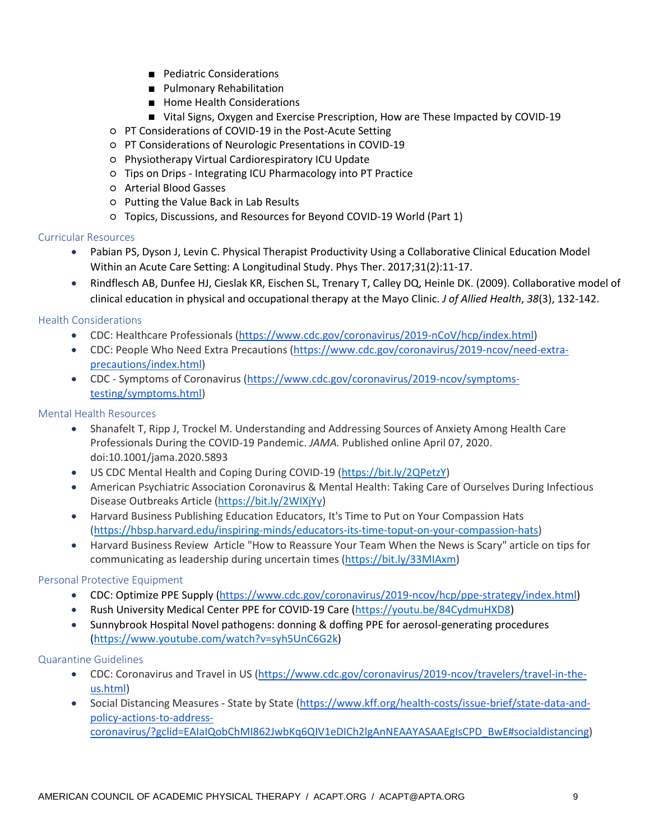- Pediatric Considerations
- Pulmonary Rehabilitation
- Home Health Considerations
- Vital Signs, Oxygen and Exercise Prescription, How are These Impacted by COVID-19
- PT Considerations of COVID-19 in the Post-Acute Setting
- PT Considerations of Neurologic Presentations in COVID-19
- Physiotherapy Virtual Cardiorespiratory ICU Update
- Tips on Drips Integrating ICU Pharmacology into PT Practice
- Arterial Blood Gasses
- Putting the Value Back in Lab Results
- Topics, Discussions, and Resources for Beyond COVID-19 World (Part 1)

#### <span id="page-8-2"></span>Curricular Resources

- Pabian PS, Dyson J, Levin C. Physical Therapist Productivity Using a Collaborative Clinical Education Model Within an Acute Care Setting: A Longitudinal Study. Phys Ther. 2017;31(2):11-17.
- Rindflesch AB, Dunfee HJ, Cieslak KR, Eischen SL, Trenary T, Calley DQ, Heinle DK. (2009). Collaborative model of clinical education in physical and occupational therapy at the Mayo Clinic. *J of Allied Health*, *38*(3), 132-142.

#### <span id="page-8-1"></span>Health Considerations

- CDC: Healthcare Professionals [\(https://www.cdc.gov/coronavirus/2019-nCoV/hcp/index.html\)](https://www.cdc.gov/coronavirus/2019-nCoV/hcp/index.html)
- CDC: People Who Need Extra Precautions [\(https://www.cdc.gov/coronavirus/2019-ncov/need-extra](https://www.cdc.gov/coronavirus/2019-ncov/need-extra-precautions/index.html)[precautions/index.html\)](https://www.cdc.gov/coronavirus/2019-ncov/need-extra-precautions/index.html)
- CDC Symptoms of Coronavirus [\(https://www.cdc.gov/coronavirus/2019-ncov/symptoms](https://www.cdc.gov/coronavirus/2019-ncov/symptoms-testing/symptoms.html)[testing/symptoms.html\)](https://www.cdc.gov/coronavirus/2019-ncov/symptoms-testing/symptoms.html)

#### <span id="page-8-3"></span>Mental Health Resources

- Shanafelt T, Ripp J, Trockel M. Understanding and Addressing Sources of Anxiety Among Health Care Professionals During the COVID-19 Pandemic. *JAMA.* Published online April 07, 2020. doi:10.1001/jama.2020.5893
- US CDC Mental Health and Coping During COVID-19 [\(https://bit.ly/2QPetzY\)](https://bit.ly/2QPetzY)
- American Psychiatric Association Coronavirus & Mental Health: Taking Care of Ourselves During Infectious Disease Outbreaks Article [\(https://bit.ly/2WIXjYy\)](https://bit.ly/2WIXjYy)
- Harvard Business Publishing Education Educators, It's Time to Put on Your Compassion Hats [\(https://hbsp.harvard.edu/inspiring-minds/educators-its-time-toput-on-your-compassion-hats\)](https://hbsp.harvard.edu/inspiring-minds/educators-its-time-toput-on-your-compassion-hats)
- Harvard Business Review Article "How to Reassure Your Team When the News is Scary" article on tips for communicating as leadership during uncertain times [\(https://bit.ly/33MIAxm\)](https://bit.ly/33MIAxm)

#### <span id="page-8-0"></span>Personal Protective Equipment

- CDC: Optimize PPE Supply [\(https://www.cdc.gov/coronavirus/2019-ncov/hcp/ppe-strategy/index.html\)](https://www.cdc.gov/coronavirus/2019-ncov/hcp/ppe-strategy/index.html)
- Rush University Medical Center PPE for COVID-19 Care [\(https://youtu.be/84CydmuHXD8\)](https://youtu.be/84CydmuHXD8)
- Sunnybrook Hospital Novel pathogens: donning & doffing PPE for aerosol-generating procedures [\(https://www.youtube.com/watch?v=syh5UnC6G2k\)](https://www.youtube.com/watch?v=syh5UnC6G2k)

#### <span id="page-8-4"></span>Quarantine Guidelines

- CDC: Coronavirus and Travel in US [\(https://www.cdc.gov/coronavirus/2019-ncov/travelers/travel-in-the](https://www.cdc.gov/coronavirus/2019-ncov/travelers/travel-in-the-us.html)[us.html\)](https://www.cdc.gov/coronavirus/2019-ncov/travelers/travel-in-the-us.html)
- Social Distancing Measures State by State [\(https://www.kff.org/health-costs/issue-brief/state-data-and](https://www.kff.org/health-costs/issue-brief/state-data-and-policy-actions-to-address-coronavirus/?gclid=EAIaIQobChMI862JwbKq6QIV1eDICh2lgAnNEAAYASAAEgIsCPD_BwE#socialdistancing)[policy-actions-to-address](https://www.kff.org/health-costs/issue-brief/state-data-and-policy-actions-to-address-coronavirus/?gclid=EAIaIQobChMI862JwbKq6QIV1eDICh2lgAnNEAAYASAAEgIsCPD_BwE#socialdistancing)[coronavirus/?gclid=EAIaIQobChMI862JwbKq6QIV1eDICh2lgAnNEAAYASAAEgIsCPD\\_BwE#socialdistancing\)](https://www.kff.org/health-costs/issue-brief/state-data-and-policy-actions-to-address-coronavirus/?gclid=EAIaIQobChMI862JwbKq6QIV1eDICh2lgAnNEAAYASAAEgIsCPD_BwE#socialdistancing)